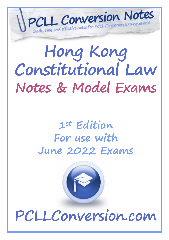## *D e t a ile d , u p d a t e d a n d e f f e ct ive n o t e s f o r PC L L C o n v e r sio n Ex a min a t io n s! H o n g K o n g C o n s t i t u t i o n a l L a w N o t e s & M o d e l E x a m s*

# **Hong Kong Constitutional Law Notes & Model Exams**

### **1st Edition For use with June 2022 Exams**



**PCLLConversion.com**

Copyright PCLLConversion.com © 2022 *(Updated for June 2022 exams)*Page 1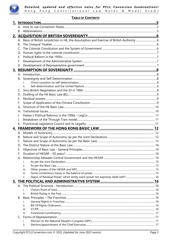

#### **TABLE OF CONTENTS**

| В. |             |  |
|----|-------------|--|
| C. |             |  |
| D. |             |  |
| Е. |             |  |
| F. |             |  |
| G. |             |  |
|    |             |  |
|    |             |  |
| B. |             |  |
|    |             |  |
|    | ii.         |  |
| C. |             |  |
| D. |             |  |
| Е. |             |  |
| F. |             |  |
|    |             |  |
| Η. |             |  |
|    |             |  |
| J. |             |  |
| К. |             |  |
|    |             |  |
|    |             |  |
|    |             |  |
| В. |             |  |
| C. |             |  |
|    |             |  |
| Е. |             |  |
| F. |             |  |
|    |             |  |
|    | Ĺ.          |  |
|    | ii.         |  |
|    | iii.        |  |
|    | IV.         |  |
|    | v.          |  |
|    |             |  |
|    |             |  |
|    | i.          |  |
|    | ii.         |  |
| В. |             |  |
|    | i.          |  |
|    | ii.<br>iii. |  |
|    | IV.         |  |
| C. |             |  |
|    | i.          |  |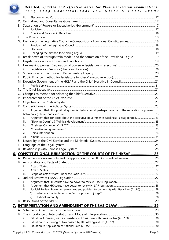

|    | iii.                                                                                                |  |
|----|-----------------------------------------------------------------------------------------------------|--|
| D. |                                                                                                     |  |
| Е. |                                                                                                     |  |
|    |                                                                                                     |  |
|    |                                                                                                     |  |
| F. |                                                                                                     |  |
|    |                                                                                                     |  |
|    |                                                                                                     |  |
|    | ii.                                                                                                 |  |
|    | iii.                                                                                                |  |
|    | Break down of 'through train model' and the formation of the Provisional LegCo  19                  |  |
| I. |                                                                                                     |  |
|    |                                                                                                     |  |
|    |                                                                                                     |  |
| К. |                                                                                                     |  |
|    |                                                                                                     |  |
|    |                                                                                                     |  |
|    |                                                                                                     |  |
|    |                                                                                                     |  |
|    |                                                                                                     |  |
| O. |                                                                                                     |  |
| Р. |                                                                                                     |  |
| Q. |                                                                                                     |  |
| R. |                                                                                                     |  |
|    | Argument that HK's political system is dysfunctional, perhaps because of the separation of powers   |  |
|    |                                                                                                     |  |
|    | Argument that concerns about the executive government's weakness is exaggerated23<br>ii.            |  |
|    | iii.                                                                                                |  |
|    | iv.                                                                                                 |  |
|    | v.                                                                                                  |  |
|    | vi.                                                                                                 |  |
|    | vii.                                                                                                |  |
| S. |                                                                                                     |  |
|    |                                                                                                     |  |
|    |                                                                                                     |  |
|    | 6. CONSTITUTIONAL JURISDICTION OF THE COURTS OF THE HKSAR 25                                        |  |
|    |                                                                                                     |  |
| В. |                                                                                                     |  |
|    |                                                                                                     |  |
|    | н.                                                                                                  |  |
|    | iii.                                                                                                |  |
| C. |                                                                                                     |  |
|    | ı.                                                                                                  |  |
|    | II.                                                                                                 |  |
|    | Judicial Review: Power to review laws and policies for conformity with Basic Law (Art.80)28<br>iii. |  |
|    | 1)                                                                                                  |  |
|    | 2)                                                                                                  |  |
|    |                                                                                                     |  |
|    |                                                                                                     |  |
|    |                                                                                                     |  |
|    |                                                                                                     |  |
| В. |                                                                                                     |  |
|    | İ.                                                                                                  |  |
|    | ii.                                                                                                 |  |
|    | iii.                                                                                                |  |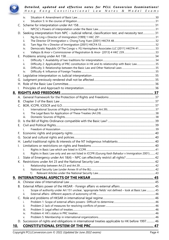

|              | i.       |                                                                                                                                                                                                                                                                                                                                                                                                                                                                                                                                                                                                                                                                                             |
|--------------|----------|---------------------------------------------------------------------------------------------------------------------------------------------------------------------------------------------------------------------------------------------------------------------------------------------------------------------------------------------------------------------------------------------------------------------------------------------------------------------------------------------------------------------------------------------------------------------------------------------------------------------------------------------------------------------------------------------|
| В.           |          |                                                                                                                                                                                                                                                                                                                                                                                                                                                                                                                                                                                                                                                                                             |
|              |          |                                                                                                                                                                                                                                                                                                                                                                                                                                                                                                                                                                                                                                                                                             |
|              |          |                                                                                                                                                                                                                                                                                                                                                                                                                                                                                                                                                                                                                                                                                             |
|              |          |                                                                                                                                                                                                                                                                                                                                                                                                                                                                                                                                                                                                                                                                                             |
|              |          |                                                                                                                                                                                                                                                                                                                                                                                                                                                                                                                                                                                                                                                                                             |
|              | i.       |                                                                                                                                                                                                                                                                                                                                                                                                                                                                                                                                                                                                                                                                                             |
| К.           |          |                                                                                                                                                                                                                                                                                                                                                                                                                                                                                                                                                                                                                                                                                             |
| J.           |          |                                                                                                                                                                                                                                                                                                                                                                                                                                                                                                                                                                                                                                                                                             |
|              |          |                                                                                                                                                                                                                                                                                                                                                                                                                                                                                                                                                                                                                                                                                             |
|              | İ.       |                                                                                                                                                                                                                                                                                                                                                                                                                                                                                                                                                                                                                                                                                             |
| $\mathsf{L}$ |          |                                                                                                                                                                                                                                                                                                                                                                                                                                                                                                                                                                                                                                                                                             |
|              |          |                                                                                                                                                                                                                                                                                                                                                                                                                                                                                                                                                                                                                                                                                             |
|              |          |                                                                                                                                                                                                                                                                                                                                                                                                                                                                                                                                                                                                                                                                                             |
| F.           |          |                                                                                                                                                                                                                                                                                                                                                                                                                                                                                                                                                                                                                                                                                             |
|              |          |                                                                                                                                                                                                                                                                                                                                                                                                                                                                                                                                                                                                                                                                                             |
|              |          |                                                                                                                                                                                                                                                                                                                                                                                                                                                                                                                                                                                                                                                                                             |
|              |          |                                                                                                                                                                                                                                                                                                                                                                                                                                                                                                                                                                                                                                                                                             |
|              | iii.     |                                                                                                                                                                                                                                                                                                                                                                                                                                                                                                                                                                                                                                                                                             |
|              | ii.      |                                                                                                                                                                                                                                                                                                                                                                                                                                                                                                                                                                                                                                                                                             |
|              | i.       |                                                                                                                                                                                                                                                                                                                                                                                                                                                                                                                                                                                                                                                                                             |
| C.           |          |                                                                                                                                                                                                                                                                                                                                                                                                                                                                                                                                                                                                                                                                                             |
| В.           |          |                                                                                                                                                                                                                                                                                                                                                                                                                                                                                                                                                                                                                                                                                             |
|              |          |                                                                                                                                                                                                                                                                                                                                                                                                                                                                                                                                                                                                                                                                                             |
|              |          |                                                                                                                                                                                                                                                                                                                                                                                                                                                                                                                                                                                                                                                                                             |
| I.           |          |                                                                                                                                                                                                                                                                                                                                                                                                                                                                                                                                                                                                                                                                                             |
|              |          |                                                                                                                                                                                                                                                                                                                                                                                                                                                                                                                                                                                                                                                                                             |
| G.           |          |                                                                                                                                                                                                                                                                                                                                                                                                                                                                                                                                                                                                                                                                                             |
| F.           |          |                                                                                                                                                                                                                                                                                                                                                                                                                                                                                                                                                                                                                                                                                             |
|              | iv.      |                                                                                                                                                                                                                                                                                                                                                                                                                                                                                                                                                                                                                                                                                             |
|              | iii.     |                                                                                                                                                                                                                                                                                                                                                                                                                                                                                                                                                                                                                                                                                             |
|              | ii.      |                                                                                                                                                                                                                                                                                                                                                                                                                                                                                                                                                                                                                                                                                             |
|              | i.       |                                                                                                                                                                                                                                                                                                                                                                                                                                                                                                                                                                                                                                                                                             |
|              |          |                                                                                                                                                                                                                                                                                                                                                                                                                                                                                                                                                                                                                                                                                             |
|              | V.       |                                                                                                                                                                                                                                                                                                                                                                                                                                                                                                                                                                                                                                                                                             |
|              | iv.      |                                                                                                                                                                                                                                                                                                                                                                                                                                                                                                                                                                                                                                                                                             |
|              |          |                                                                                                                                                                                                                                                                                                                                                                                                                                                                                                                                                                                                                                                                                             |
|              |          |                                                                                                                                                                                                                                                                                                                                                                                                                                                                                                                                                                                                                                                                                             |
|              |          |                                                                                                                                                                                                                                                                                                                                                                                                                                                                                                                                                                                                                                                                                             |
|              |          |                                                                                                                                                                                                                                                                                                                                                                                                                                                                                                                                                                                                                                                                                             |
|              |          |                                                                                                                                                                                                                                                                                                                                                                                                                                                                                                                                                                                                                                                                                             |
|              | V.       |                                                                                                                                                                                                                                                                                                                                                                                                                                                                                                                                                                                                                                                                                             |
|              | iv.      |                                                                                                                                                                                                                                                                                                                                                                                                                                                                                                                                                                                                                                                                                             |
|              | 9.<br>C. | i.<br>D. Seeking interpretation from NPC - Judicial referral, classification test, and necessity test 31<br>i.<br>ii.<br>iii.<br>Democratic Republic Of The Congo v. FG Hemisphere Associates LLC [2011] HKCFA 4133<br>Difficulty 2: Applicability of PRC constitution in HK and its relationship with Basic Law35<br>Rights in Basic Law only and are not listed in ICCPR (Gurung Kesh Bahadur v Immigration 2001)42<br>ii.<br>ii.<br>1)<br>Scope of authority under Art 151 unclear, 'appropriate fields' not defined - look at Basic Law45<br>ii.<br>i.<br>ii.<br>iii.<br>iv.<br>V.<br>D. Succession of rights and obligations in international treaties applicable to HK before 1997 46 |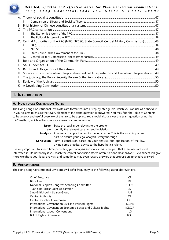

| $\mathsf{C}$                                                                                   |                                                                                                      |  |
|------------------------------------------------------------------------------------------------|------------------------------------------------------------------------------------------------------|--|
|                                                                                                |                                                                                                      |  |
| ii.                                                                                            |                                                                                                      |  |
| D. Central Authorities of the PRC (NPC, NPCSC, State Council, Central Military Commission)  48 |                                                                                                      |  |
|                                                                                                |                                                                                                      |  |
| ii.                                                                                            |                                                                                                      |  |
| iii.                                                                                           |                                                                                                      |  |
| iv.                                                                                            |                                                                                                      |  |
|                                                                                                |                                                                                                      |  |
|                                                                                                |                                                                                                      |  |
| G.                                                                                             |                                                                                                      |  |
| Н.                                                                                             |                                                                                                      |  |
|                                                                                                |                                                                                                      |  |
|                                                                                                |                                                                                                      |  |
|                                                                                                |                                                                                                      |  |
|                                                                                                | Sources of Law (Legislative Interpretation, Judicial Interpretation and Executive Interpretation) 49 |  |

#### **1. INTRODUCTION**

#### **A. HOW TO USE CONVERSION NOTES**

The Hong Kong Constitutional Law Notes are formatted into a step-by-step guide, which you can use as a checklist in your exams to ensure that every element of the exam question is answered. You may find the Table of Contents to be a quick and useful overview of the law to be applied. You should also answer the exam question using the ILAC method, which will ensure your answer is comprehensive.

| Issue      | State the legal issue relevant to the problem                                            |
|------------|------------------------------------------------------------------------------------------|
| Law        | Identify the relevant case law and legislation                                           |
|            | <b>Analysis</b> Analyse and apply the law to the legal issue. This is the most important |
|            | part, so ensure your legal analysis is very thorough.                                    |
| Conclusion | Form a conclusion based on your analysis and application of the law,                     |
|            | giving some practical advice to the hypothetical client.                                 |

It is very important to spend time perfecting your analysis section, as this is the part that examiners are most interested in. Do not worry if you reach the correct conclusion (there often isn't one clear answer) – examiners will give more weight to your legal analysis, and sometimes may even reward answers that propose an innovative answer!

#### **B. ABBREVIATIONS**

The Hong Kong Constitutional Law Notes will refer frequently to the following using abbreviations.

| <b>Chief Executive</b>                                         | СE             |
|----------------------------------------------------------------|----------------|
| Basic Law                                                      | BL             |
| National People's Congress Standing Committee                  | <b>NPCSC</b>   |
| 1984 Sino-British Joint Declaration                            | JD             |
| Sino-British Joint Liaison Group                               | JLG            |
| Central Authority                                              | CA <sup></sup> |
| Central People's Government                                    | <b>CPG</b>     |
| International Covenant on Civil and Political Rights           | <b>ICCPR</b>   |
| International Covenant on Economic, Social and Cultural Rights | <b>ICESCR</b>  |
| International Labour Conventions                               | II O           |
| <b>Bill of Rights Ordinance</b>                                | <b>BOR</b>     |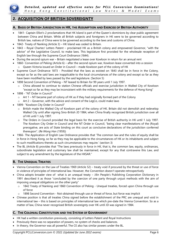

#### **2. ACQUISITION OF BRITISH SOVEREIGNTY**

#### **A. BASIS OF BRITISH JURISDICTION IN HK, THE ASSUMPTION AND EXERCISE OF BRITISH AUTHORITY**

- 1841- Captain Elliot's 2 proclamations that HK Island is part of the Queen's dominions by clear public agreement between China and Britain. While all British subjects and foreigners in HK were to be governed according to British law, natives of China were to be governed according to the laws and customs of China.
- 1842- Treaty of Nanking (Article 3) HK Island was ceded to Britain.
- 1843 Royal Charter/ Letters Patent proclaimed HK as a British colony and empowered Governor, "with the advice" of the Legislative Council, to make laws. This legislature first provided for the wholesale reception of English law through the Supreme Court Ordinance (1844).
- During the second opium war Britain negotiated a lease over Kowloon in return for an annual rent
- 1860- Convention of Peking (Article 6) after the second opium war, Kowloon lease converted into a cession  $\circ$  Queen Victoria issued an Order in Council – made Kowloon part of the colony of HK
- Supreme Court Ordinance 1873 Provided that the laws as existed on 1843 shall be in force in the Colony, except so far as the said laws are inapplicable to the local circumstances of the colony and except so far as they have been modified by laws passed by the said legislature. (Section 5)
- 1898 Second Convention of Peking NT leased to Britain for 99 years until 1 July 1997.
	- China allowed to continue to station Chinese officials and exercise jurisdiction in Walled City of Kowloon "except so far as they may be inconsistent with the military requirements for the defence of Hong Kong"
- 1898 "NT Order in Council"
	- $\circ$  Art 1 NT became part of colony of HK as if they had originally formed part of the Colony
	- o Art 2 Governor, with the advice and consent of the LegCo, could make laws
- 1899- "Kowloon City Order in Council"
	- o British made the Walled City of Kowloon part of the colony of HK. Britain did not demolish and redevelop Walled City until after signing Sino-British JD 1984, when China finally recognized British jurisdiction over all of HK until 1 July 1997.
	- o The Orders in Council provided the legal basis for the exercise of British authority in HK until 1 July 1997. The Kowloon City Order in Council and the NT Order in Council, "being clear manifestations of the (Royal) prerogative, are acts of State binding on this court as conclusive declarations of the jurisdiction conferred thereupon". (*Re Wong Hon* (1959))
- 1966- The Application of English Law Ordinance provides that 'The common law and the rules of equity shall be in force in Hong Kong, so far as they may be applicable to the circumstances of HK or its inhabitants and subject to such modifications thereto as such circumstances may require.' (section 3)
- The BL (Article 8) provides that "The laws previously in force in HK, that is, the common law, equity, ordinances, subordinate legislation and customary law shall be maintained, except for any that contravene this Law, and subject to any amendment by the legislature of the HKSAR."

#### **B. THE UNEQUAL TREATIES**

- Vienna Convention on the Law of Treaties 1969 (Article 52) treaty void if procured by the threat or use of force in violence of principles of international law. However, the Convention doesn't operate retrospectively
- China adopts broader view of what is an unequal treaty Jilin People's Publishing Corporation Dictionary in 1991 described it as those "concluded by the coercion of one party through unjust methods with the aim of imposing unequal obligations on the other party"
	- o 1842 Treaty of Nanking and 1860 Convention of Peking Unequal treaties, forced upon China through use of force
	- $\circ$  1898 Second Convention Not obtained through use or threat of force, but force was implicit
- Chinese position is that all treaties China signed before the establishment of the PRC are unequal and void in international law – this is based on principles of international law which pre-date the Vienna Convention. So as a matter of law, China never recognised British sovereignty over HK until JD was signed in 1984.

#### **C. THE COLONIAL CONSTITUTION AND THE SYSTEM OF GOVERNMENT**

- HK had a written constitution previously, consisting of Letters Patent and Royal Instructions
- Previously there was no separation of powers, no system of checks and balances.
- In theory, the Governor was all powerful. The CE also has similar powers under the BL.